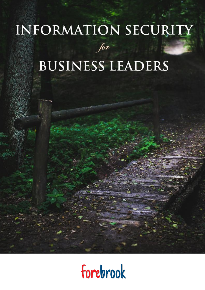# INFORMATION SECURITY



## **BUSINESS LEADERS**

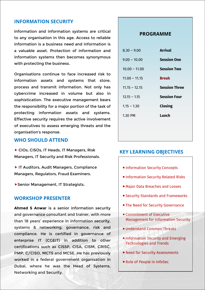#### **INFORMATION SECURITY**

Information and information systems are critical to any organisation in this age. Access to reliable information is a business need and information is a valuable asset. Protection of information and information systems then becomes synonymous with protecting the business.

Organisations continue to face increased risk to information assets and systems that store, process and transmit information. Not only has cybercrime increased in volume but also in sophistication. The executive management bears the responsibility for a major portion of the task of protecting information assets and systems. Effective security requires the active involvement of executives to assess emerging threats and the organisation's response.

#### **WHO SHOULD ATTEND**

▶ CIOs, CISOs, IT Heads, IT Managers, Risk Managers, IT Security and Risk Professionals.

▶ IT Auditors, Audit Managers, Compliance Managers, Regulators, Fraud Examiners.

▶ Senior Management, IT Strategists.

#### **WORKSHOP PRESENTER**

**Ahmed S Anwar** is a senior information security and governance consultant and trainer, with more than 18 years' experience in information security, systems & networking, governance, risk and compliance. He is certified in governance of enterprise IT (CGEIT) in addition to other certifications such as CISSP, CISA, CISM, CRISC, PMP, C/CISO, MCTS and MCSE. He has previously worked in a federal government organisation in Dubai, where he was the Head of Systems, Networking and Security.

#### **PROGRAMME**

| $8.30 - 9.00$   | <b>Arrival</b>       |
|-----------------|----------------------|
| $9.00 - 10.00$  | <b>Session One</b>   |
| $10.00 - 11.00$ | <b>Session Two</b>   |
| $11.00 - 11.15$ | <b>Break</b>         |
| $11.15 - 12.15$ | <b>Session Three</b> |
| $12.15 - 1.15$  | <b>Session Four</b>  |
| $1.15 - 1.30$   | Closing              |
| 1.30 PM         | Lunch                |
|                 |                      |

#### **KEY LEARNING OBJECTIVES**

- **Information Security Concepts**
- **Information Security Related Risks**
- Major Data Breaches and Losses
- Security Standards and Frameworks
- **The Need for Security Governance**
- **Executive** Management for Information Security
- **Understand Common Threats**
- **Information Security and Emerging** Technologies and Trends
- **Need for Security Assessments**
- Role of People in InfoSec